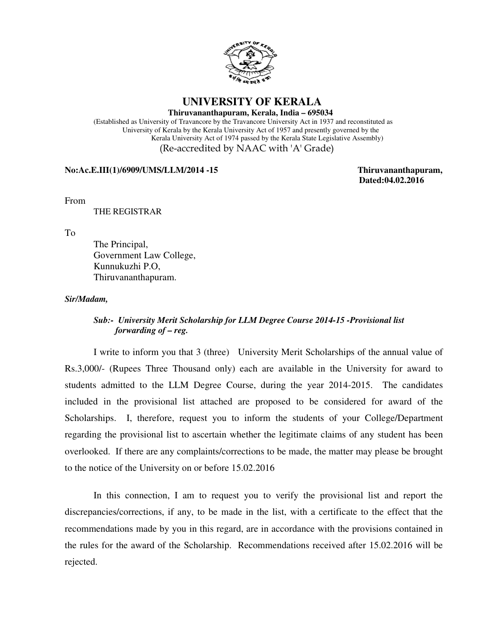

### **UNIVERSITY OF KERALA**

**Thiruvananthapuram, Kerala, India – 695034**

 (Established as University of Travancore by the Travancore University Act in 1937 and reconstituted as University of Kerala by the Kerala University Act of 1957 and presently governed by the Kerala University Act of 1974 passed by the Kerala State Legislative Assembly) (Re-accredited by NAAC with 'A' Grade)

#### **No:Ac.E.III(1)/6909/UMS/LLM/2014 -15 Thiruvananthapuram,**

 **Dated:04.02.2016**

From

THE REGISTRAR

To

 The Principal, Government Law College, Kunnukuzhi P.O, Thiruvananthapuram.

#### *Sir/Madam,*

### *Sub:- University Merit Scholarship for LLM Degree Course 2014-15 -Provisional list forwarding of – reg.*

 I write to inform you that 3 (three) University Merit Scholarships of the annual value of Rs.3,000/- (Rupees Three Thousand only) each are available in the University for award to students admitted to the LLM Degree Course, during the year 2014-2015. The candidates included in the provisional list attached are proposed to be considered for award of the Scholarships. I, therefore, request you to inform the students of your College/Department regarding the provisional list to ascertain whether the legitimate claims of any student has been overlooked. If there are any complaints/corrections to be made, the matter may please be brought to the notice of the University on or before 15.02.2016

 In this connection, I am to request you to verify the provisional list and report the discrepancies/corrections, if any, to be made in the list, with a certificate to the effect that the recommendations made by you in this regard, are in accordance with the provisions contained in the rules for the award of the Scholarship. Recommendations received after 15.02.2016 will be rejected.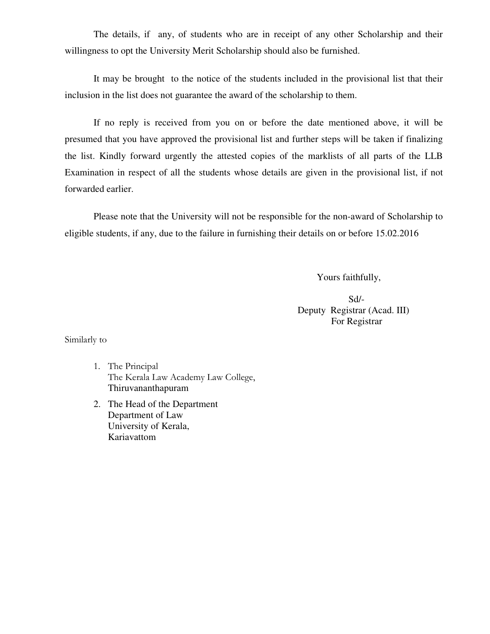The details, if any, of students who are in receipt of any other Scholarship and their willingness to opt the University Merit Scholarship should also be furnished.

It may be brought to the notice of the students included in the provisional list that their inclusion in the list does not guarantee the award of the scholarship to them.

 If no reply is received from you on or before the date mentioned above, it will be presumed that you have approved the provisional list and further steps will be taken if finalizing the list. Kindly forward urgently the attested copies of the marklists of all parts of the LLB Examination in respect of all the students whose details are given in the provisional list, if not forwarded earlier.

 Please note that the University will not be responsible for the non-award of Scholarship to eligible students, if any, due to the failure in furnishing their details on or before 15.02.2016

Yours faithfully,

Sd/- Deputy Registrar (Acad. III) For Registrar

Similarly to

- 1. The Principal The Kerala Law Academy Law College, Thiruvananthapuram
- 2. The Head of the Department Department of Law University of Kerala, Kariavattom